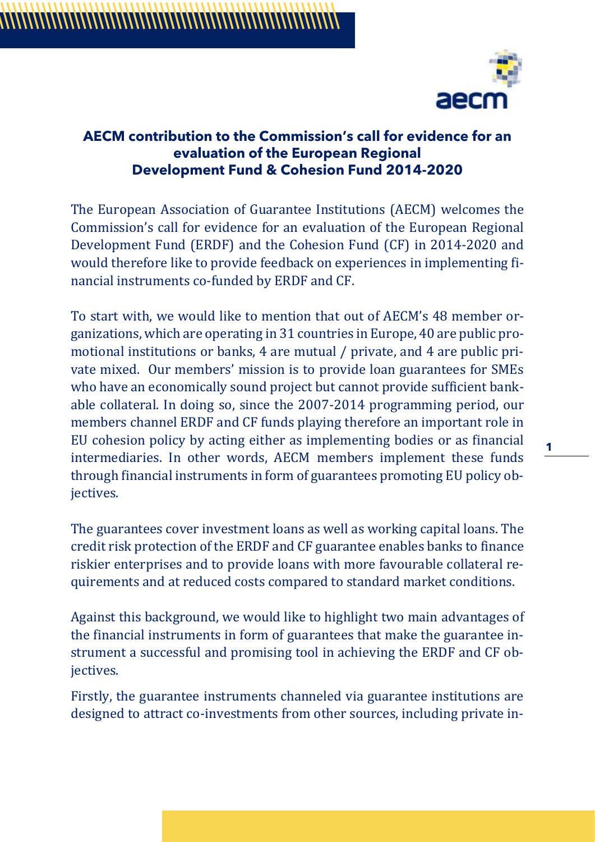

## **AECM contribution to the Commission's call for evidence for an evaluation of the European Regional Development Fund & Cohesion Fund 2014-2020**

The European Association of Guarantee Institutions (AECM) welcomes the Commission's call for evidence for an evaluation of the European Regional Development Fund (ERDF) and the Cohesion Fund (CF) in 2014-2020 and would therefore like to provide feedback on experiences in implementing financial instruments co-funded by ERDF and CF.

To start with, we would like to mention that out of AECM's 48 member organizations, which are operating in 31 countries in Europe, 40 are public promotional institutions or banks, 4 are mutual / private, and 4 are public private mixed. Our members' mission is to provide loan guarantees for SMEs who have an economically sound project but cannot provide sufficient bankable collateral. In doing so, since the 2007-2014 programming period, our members channel ERDF and CF funds playing therefore an important role in EU cohesion policy by acting either as implementing bodies or as financial intermediaries. In other words, AECM members implement these funds through financial instruments in form of guarantees promoting EU policy objectives.

The guarantees cover investment loans as well as working capital loans. The credit risk protection of the ERDF and CF guarantee enables banks to finance riskier enterprises and to provide loans with more favourable collateral requirements and at reduced costs compared to standard market conditions.

Against this background, we would like to highlight two main advantages of the financial instruments in form of guarantees that make the guarantee instrument a successful and promising tool in achieving the ERDF and CF objectives.

Firstly, the guarantee instruments channeled via guarantee institutions are designed to attract co-investments from other sources, including private in**1**